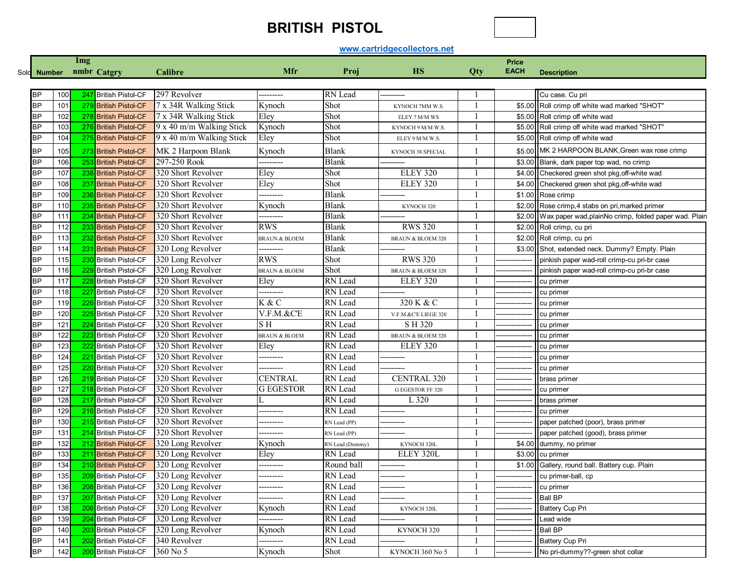## **BRITISH PISTOL**



## **www.cartridgecollectors.net**

|           | Img        |     |                          |                                        |                          |                            |                      |     |                      |                                                                    |
|-----------|------------|-----|--------------------------|----------------------------------------|--------------------------|----------------------------|----------------------|-----|----------------------|--------------------------------------------------------------------|
|           |            |     | nmbr Catgry              | Calibre                                | Mfr                      | Proj                       | HS                   | Qty | Price<br><b>EACH</b> |                                                                    |
| Sold      | Number     |     |                          |                                        |                          |                            |                      |     |                      | <b>Description</b>                                                 |
|           |            |     |                          |                                        |                          |                            |                      |     |                      |                                                                    |
| BP        | 100        |     | 247 British Pistol-CF    | 297 Revolver                           | --------                 | RN Lead                    |                      |     |                      | Cu case. Cu pri                                                    |
| <b>BP</b> | 101        |     | 279 British Pistol-CF    | 7 x 34R Walking Stick                  | Kynoch                   | Shot                       | KYNOCH 7MM W.S.      |     |                      | \$5.00 Roll crimp off white wad marked "SHOT"                      |
| BP        | 102        |     | 278 British Pistol-CF    | 7 x 34R Walking Stick                  | Eley                     | Shot                       | ELEY 7 M/M WS        |     |                      | \$5.00 Roll crimp off white wad                                    |
| ΒP        | 103        |     | 276 British Pistol-CF    | 9 x 40 m/m Walking Stick               | Kynoch                   | Shot                       | KYNOCH 9 M/M W.S.    |     |                      | \$5.00 Roll crimp off white wad marked "SHOT"                      |
| BP        | 104        |     | 275 British Pistol-CF    | 9 x 40 m/m Walking Stick               | Eley                     | Shot                       | ELEY 9 M/M W.S.      |     |                      | \$5.00 Roll crimp off white wad                                    |
| ΒP        | 105        |     | 273 British Pistol-CF    | MK 2 Harpoon Blank                     | Kynoch                   | Blank                      | KYNOCH 38 SPECIAL    |     |                      | \$5.00 MK 2 HARPOON BLANK, Green wax rose crimp                    |
| <b>BP</b> | 106        |     | 253 British Pistol-CF    | 297-250 Rook                           | --------                 | Blank                      |                      |     |                      | \$3.00 Blank, dark paper top wad, no crimp                         |
| ΒP        | 107        |     | 238 British Pistol-CF    | 320 Short Revolver                     | Eley                     | Shot                       | <b>ELEY 320</b>      |     |                      | \$4.00 Checkered green shot pkg, off-white wad                     |
| BP        | 108        |     | 237 British Pistol-CF    | 320 Short Revolver                     | Eley                     | Shot                       | <b>ELEY 320</b>      |     |                      | \$4.00 Checkered green shot pkg, off-white wad                     |
| ΒP        | 109        |     | 236 British Pistol-CF    | 320 Short Revolver                     | -------                  | Blank                      |                      |     |                      | \$1.00 Rose crimp                                                  |
| BP        | 110        |     | 235 British Pistol-CF    | 320 Short Revolver                     | Kynoch                   | Blank                      | KYNOCH 320           |     |                      | \$2.00 Rose crimp,4 stabs on pri, marked primer                    |
| BP        | 111        |     | 234 British Pistol-CF    | 320 Short Revolver                     | ---------                | Blank                      |                      |     |                      | \$2.00 Wax paper wad, plainNo crimp, folded paper wad. Plain       |
| ΒP        | 112        |     | 233 British Pistol-CF    | 320 Short Revolver                     | <b>RWS</b>               | Blank                      | <b>RWS 320</b>       |     |                      | \$2.00 Roll crimp, cu pri                                          |
| <b>BP</b> | 113        |     | 232 British Pistol-CF    | 320 Short Revolver                     | <b>BRAUN &amp; BLOEM</b> | Blank                      | BRAUN & BLOEM 320    |     |                      | \$2.00 Roll crimp, cu pri                                          |
| BΡ        | 114        |     | 231 British Pistol-CF    | 320 Long Revolver                      | --------                 | Blank                      |                      |     |                      | \$3.00 Shot, extended neck. Dummy? Empty. Plain                    |
| ΒP        | 115        |     | 230 British Pistol-CF    | 320 Long Revolver                      | <b>RWS</b>               | Shot                       | <b>RWS 320</b>       |     |                      | pinkish paper wad-roll crimp-cu pri-br case                        |
| ΒP        | 116        |     | 229 British Pistol-CF    | 320 Long Revolver                      | <b>BRAUN &amp; BLOEM</b> | Shot                       | BRAUN & BLOEM 320    |     |                      | pinkish paper wad-roll crimp-cu pri-br case                        |
| ΒP        | 117        |     | 228 British Pistol-CF    | 320 Short Revolver                     | Eley                     | RN Lead                    | ELEY 320             |     |                      | cu primer                                                          |
| ΒP        | 118        |     | 227 British Pistol-CF    | 320 Short Revolver                     | --------                 | RN Lead                    |                      |     |                      | cu primer                                                          |
| ΒP        | 119        |     | 226 British Pistol-CF    | 320 Short Revolver                     | K & C                    | RN Lead                    | 320 K & C            |     |                      | cu primer                                                          |
| ΒP        | 120        |     | 225 British Pistol-CF    | 320 Short Revolver                     | $V.F.M.$ & $C'E$         | RN Lead                    | V.F.M.&C'E LIEGE 320 |     |                      | cu primer                                                          |
| ΒP        | 121        |     | 224 British Pistol-CF    | 320 Short Revolver                     | S H                      | RN Lead                    | SH 320               |     |                      | cu primer                                                          |
| <b>BP</b> | 122        |     | 223 British Pistol-CF    | 320 Short Revolver                     | <b>BRAUN &amp; BLOEM</b> | RN Lead                    | BRAUN & BLOEM 320    |     |                      | cu primer                                                          |
| BP        | 123        |     | 222 British Pistol-CF    | 320 Short Revolver                     | Eley                     | RN Lead                    | ELEY 320             |     |                      | cu primer                                                          |
| ΒP        | 124        |     | 221 British Pistol-CF    | 320 Short Revolver                     | ---------                | RN Lead                    |                      |     |                      | cu primer                                                          |
| <b>BP</b> | 125        |     | 220 British Pistol-CF    | 320 Short Revolver                     | --------                 | RN Lead                    |                      |     |                      | cu primer                                                          |
| ΒP        | 126        |     | 219 British Pistol-CF    | 320 Short Revolver                     | <b>CENTRAL</b>           | RN Lead                    | <b>CENTRAL 320</b>   |     |                      | brass primer                                                       |
| ΒP        | 127        |     | 218 British Pistol-CF    | 320 Short Revolver                     | <b>G EGESTOR</b>         | RN Lead                    | G EGESTOR FF 320     |     |                      | cu primer                                                          |
| ΒP        | 128        |     | 217 British Pistol-CF    | 320 Short Revolver                     |                          | RN Lead                    | L 320                |     |                      | brass primer                                                       |
| ΒP        | 129        |     | 216 British Pistol-CF    | 320 Short Revolver                     | --------                 | RN Lead                    |                      |     |                      | cu primer                                                          |
| ΒP        | 130        |     | 215 British Pistol-CF    | 320 Short Revolver                     | ---------                | RN Lead (PP)               |                      |     |                      | paper patched (poor), brass primer                                 |
| <b>BP</b> | 131        |     | 214 British Pistol-CF    | 320 Short Revolver                     | ---------                | RN Lead (PP)               |                      |     |                      | paper patched (good), brass primer                                 |
| ΒP        | 132        |     | 212 British Pistol-CF    | 320 Long Revolver                      | Kynoch                   |                            | KYNOCH 320L          |     |                      | \$4.00 dummy, no primer                                            |
| ΒP        |            |     | 211 British Pistol-CF    |                                        | Eley                     | RN Lead (Dummy)<br>RN Lead | ELEY 320L            |     |                      |                                                                    |
| <b>BP</b> | 133<br>134 |     | 210 British Pistol-CF    | 320 Long Revolver<br>320 Long Revolver |                          | Round ball                 |                      |     |                      | \$3.00 cu primer<br>\$1.00 Gallery, round ball. Battery cup. Plain |
|           |            |     |                          |                                        | ---------                |                            |                      |     |                      | cu primer-ball, cp                                                 |
| <b>BP</b> | 135        |     | 209 British Pistol-CF    | 320 Long Revolver                      | ---------                | RN Lead                    |                      |     |                      |                                                                    |
| <b>BP</b> | 136        |     | 208 British Pistol-CF    | 320 Long Revolver                      | ---------                | RN Lead                    |                      |     |                      | cu primer                                                          |
| <b>BP</b> | 137        |     | 207 British Pistol-CF    | 320 Long Revolver                      | --------                 | RN Lead                    |                      |     |                      | <b>Ball BP</b>                                                     |
| <b>BP</b> | 138        |     | 206 British Pistol-CF    | 320 Long Revolver                      | Kynoch                   | RN Lead                    | KYNOCH 320L          |     |                      | <b>Battery Cup Pri</b>                                             |
| <b>BP</b> | 139        |     | 204 British Pistol-CF    | 320 Long Revolver                      | --------                 | RN Lead                    |                      |     |                      | Lead wide                                                          |
| <b>BP</b> | 140        | 203 | <b>British Pistol-CF</b> | 320 Long Revolver                      | Kynoch                   | RN Lead                    | KYNOCH 320           |     |                      | <b>Ball BP</b>                                                     |
| <b>BP</b> | 141        |     | 202 British Pistol-CF    | 340 Revolver                           | ---------                | RN Lead                    |                      |     |                      | <b>Battery Cup Pri</b>                                             |
| BЬ        | 142        |     | 200 British Pistol-CF    | 360 No 5                               | Kynoch                   | Shot                       | KYNOCH 360 No 5      |     |                      | No pri-dummy??-green shot collar                                   |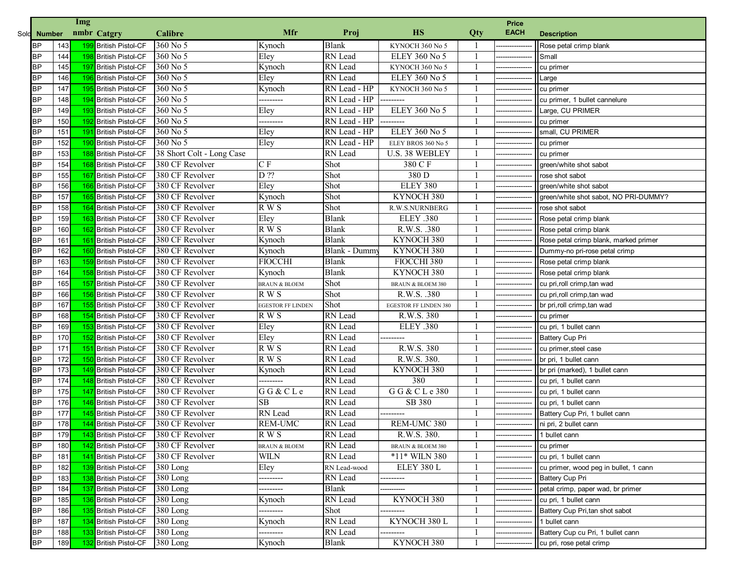|             | Img<br>Price |     |                          |                           |                          |              |                              |     |             |                                       |
|-------------|--------------|-----|--------------------------|---------------------------|--------------------------|--------------|------------------------------|-----|-------------|---------------------------------------|
| Sold Number |              |     | nmbr Catgry              | <b>Calibre</b>            | Mfr                      | Proj         | <b>HS</b>                    | Qty | <b>EACH</b> | <b>Description</b>                    |
| <b>BP</b>   | 143          |     | 199 British Pistol-CF    | 360 No 5                  | Kynoch                   | <b>Blank</b> | KYNOCH 360 No 5              |     |             | Rose petal crimp blank                |
| <b>BP</b>   | 144          |     | 198 British Pistol-CF    | 360 No 5                  | Eley                     | RN Lead      | ELEY 360 No 5                |     |             | Small                                 |
| <b>BP</b>   | 145          | 197 | British Pistol-CF        | 360 No 5                  | Kynoch                   | RN Lead      | KYNOCH 360 No 5              |     |             | cu primer                             |
| <b>BP</b>   | 146          |     | 196 British Pistol-CF    | 360 No 5                  | Eley                     | RN Lead      | ELEY 360 No 5                |     |             | Large                                 |
| <b>BP</b>   | 147          |     | 195 British Pistol-CF    | 360 No 5                  | Kynoch                   | RN Lead - HP | KYNOCH 360 No 5              |     |             | cu primer                             |
| <b>BP</b>   | 148          |     | 194 British Pistol-CF    | 360 No 5                  |                          | RN Lead - HP | -------                      |     |             | cu primer, 1 bullet cannelure         |
| <b>BP</b>   | 149          |     | 193 British Pistol-CF    | 360 No 5                  | Eley                     | RN Lead - HP | <b>ELEY 360 No 5</b>         |     |             | Large, CU PRIMER                      |
| <b>BP</b>   | 150          |     | 192 British Pistol-CF    | 360 No 5                  |                          | RN Lead - HP | --------                     |     |             | cu primer                             |
| <b>BP</b>   | 151          |     | 191 British Pistol-CF    | 360 No 5                  | Eley                     | RN Lead - HP | <b>ELEY 360 No 5</b>         |     |             | small, CU PRIMER                      |
| <b>BP</b>   | 152          |     | 190 British Pistol-CF    | 360 No 5                  | Eley                     | RN Lead - HP | ELEY BROS 360 No 5           |     |             | cu primer                             |
| <b>BP</b>   | 153          |     | 188 British Pistol-CF    | 38 Short Colt - Long Case |                          | RN Lead      | U.S. 38 WEBLEY               |     |             | cu primer                             |
| <b>BP</b>   | 154          |     | 168 British Pistol-CF    | 380 CF Revolver           | $C \nF$                  | Shot         | 380 C F                      |     |             | green/white shot sabot                |
| <b>BP</b>   | 155          | 167 | British Pistol-CF        | 380 CF Revolver           | $D$ ??                   | Shot         | 380 D                        |     |             | rose shot sabot                       |
| <b>BP</b>   | 156          |     | 166 British Pistol-CF    | 380 CF Revolver           | Eley                     | Shot         | ELEY 380                     |     |             | green/white shot sabot                |
| <b>BP</b>   | 157          |     | 165 British Pistol-CF    | 380 CF Revolver           | Kynoch                   | Shot         | KYNOCH 380                   |     |             | green/white shot sabot, NO PRI-DUMMY? |
| <b>BP</b>   | 158          | 164 | <b>British Pistol-CF</b> | 380 CF Revolver           | $R$ W S                  | Shot         | R.W.S.NURNBERG               |     |             | rose shot sabot                       |
| <b>BP</b>   | 159          | 163 | <b>British Pistol-CF</b> | 380 CF Revolver           | Eley                     | <b>Blank</b> | ELEY .380                    |     |             | Rose petal crimp blank                |
| <b>BP</b>   | 160          |     | 162 British Pistol-CF    | 380 CF Revolver           | $R$ W S                  | <b>Blank</b> | R.W.S. .380                  |     |             | Rose petal crimp blank                |
| <b>BP</b>   | 161          |     | 161 British Pistol-CF    | 380 CF Revolver           | Kynoch                   | <b>Blank</b> | KYNOCH 380                   |     |             | Rose petal crimp blank, marked primer |
| <b>BP</b>   | 162          |     | 160 British Pistol-CF    | 380 CF Revolver           | Kynoch                   | Blank - Dumm | KYNOCH 380                   |     |             | Dummy-no pri-rose petal crimp         |
| <b>BP</b>   | 163          |     | 159 British Pistol-CF    | 380 CF Revolver           | <b>FIOCCHI</b>           | Blank        | FIOCCHI 380                  |     |             | Rose petal crimp blank                |
| <b>BP</b>   | 164          |     | 158 British Pistol-CF    | 380 CF Revolver           | Kynoch                   | <b>Blank</b> | KYNOCH 380                   |     |             | Rose petal crimp blank                |
| <b>BP</b>   | 165          | 157 | <b>British Pistol-CF</b> | 380 CF Revolver           | <b>BRAUN &amp; BLOEM</b> | Shot         | <b>BRAUN &amp; BLOEM 380</b> |     |             | cu pri,roll crimp,tan wad             |
| <b>BP</b>   | 166          |     | 156 British Pistol-CF    | 380 CF Revolver           | R W S                    | Shot         | R.W.S. .380                  |     |             | cu pri, roll crimp, tan wad           |
| <b>BP</b>   | 167          |     | 155 British Pistol-CF    | 380 CF Revolver           | <b>EGESTOR FF LINDEN</b> | Shot         | <b>EGESTOR FF LINDEN 380</b> |     |             | br pri, roll crimp, tan wad           |
| <b>BP</b>   | 168          |     | 154 British Pistol-CF    | 380 CF Revolver           | R W S                    | RN Lead      | R.W.S. 380                   |     |             | cu primer                             |
| <b>BP</b>   | 169          |     | 153 British Pistol-CF    | 380 CF Revolver           | Eley                     | RN Lead      | ELEY .380                    |     |             | cu pri, 1 bullet cann                 |
| <b>BP</b>   | 170          | 152 | British Pistol-CF        | 380 CF Revolver           | Eley                     | RN Lead      |                              |     |             | Battery Cup Pri                       |
| <b>BP</b>   | 171          | 151 | <b>British Pistol-CF</b> | 380 CF Revolver           | R W S                    | RN Lead      | R.W.S. 380                   |     |             | cu primer, steel case                 |
| <b>BP</b>   | 172          |     | 150 British Pistol-CF    | 380 CF Revolver           | $R$ W S                  | RN Lead      | R.W.S. 380.                  |     |             | br pri, 1 bullet cann                 |
| <b>BP</b>   | 173          |     | 149 British Pistol-CF    | 380 CF Revolver           | Kynoch                   | RN Lead      | KYNOCH 380                   |     |             | br pri (marked), 1 bullet cann        |
| <b>BP</b>   | 174          |     | 148 British Pistol-CF    | 380 CF Revolver           |                          | RN Lead      | 380                          |     |             | cu pri, 1 bullet cann                 |
| <b>BP</b>   | 175          |     | 147 British Pistol-CF    | 380 CF Revolver           | GG & CLe                 | RN Lead      | G G & C L e 380              |     |             | cu pri, 1 bullet cann                 |
| <b>BP</b>   | 176          |     | 146 British Pistol-CF    | 380 CF Revolver           | SB                       | RN Lead      | SB 380                       |     |             | cu pri, 1 bullet cann                 |
| <b>BP</b>   | 177          |     | 145 British Pistol-CF    | 380 CF Revolver           | RN Lead                  | RN Lead      | ---------                    |     |             | Battery Cup Pri, 1 bullet cann        |
| <b>BP</b>   | 178          |     | 144 British Pistol-CF    | 380 CF Revolver           | <b>REM-UMC</b>           | RN Lead      | REM-UMC 380                  |     |             | ni pri, 2 bullet cann                 |
| <b>BP</b>   | 179          |     | 143 British Pistol-CF    | 380 CF Revolver           | R W S                    | RN Lead      | R.W.S. 380.                  |     |             | 11 bullet cann                        |
| <b>BP</b>   | 180          |     | 142 British Pistol-CF    | 380 CF Revolver           | <b>BRAUN &amp; BLOEM</b> | RN Lead      | <b>BRAUN &amp; BLOEM 380</b> |     |             | cu primer                             |
| <b>BP</b>   | 181          |     | 141 British Pistol-CF    | 380 CF Revolver           | WILN                     | RN Lead      | *11* WILN 380                |     |             | cu pri, 1 bullet cann                 |
| <b>BP</b>   | 182          |     | 139 British Pistol-CF    | $380$ Long                | Eley                     | RN Lead-wood | ELEY 380 L                   |     |             | cu primer, wood peg in bullet, 1 cann |
| <b>BP</b>   | 183          |     | 138 British Pistol-CF    | $380$ Long                | ---------                | RN Lead      |                              |     |             | <b>Battery Cup Pri</b>                |
| <b>BP</b>   | 184          |     | 137 British Pistol-CF    | 380 Long                  | ---------                | Blank        |                              |     |             | petal crimp, paper wad, br primer     |
| <b>BP</b>   | 185          |     | 136 British Pistol-CF    | $380$ Long                | Kynoch                   | RN Lead      | KYNOCH 380                   |     |             | cu pri, 1 bullet cann                 |
| <b>BP</b>   | 186          |     | 135 British Pistol-CF    | 380 Long                  | ---------                | Shot         |                              |     |             | Battery Cup Pri, tan shot sabot       |
| <b>BP</b>   | 187          |     | 134 British Pistol-CF    | 380 Long                  | Kynoch                   | RN Lead      | KYNOCH 380 L                 |     |             | 1 bullet cann                         |
| <b>BP</b>   | 188          |     | 133 British Pistol-CF    | 380 Long                  |                          | RN Lead      |                              |     |             | Battery Cup cu Pri, 1 bullet cann     |
| <b>BP</b>   | 189          |     | 132 British Pistol-CF    | 380 Long                  | Kynoch                   | Blank        | KYNOCH 380                   |     |             | cu pri, rose petal crimp              |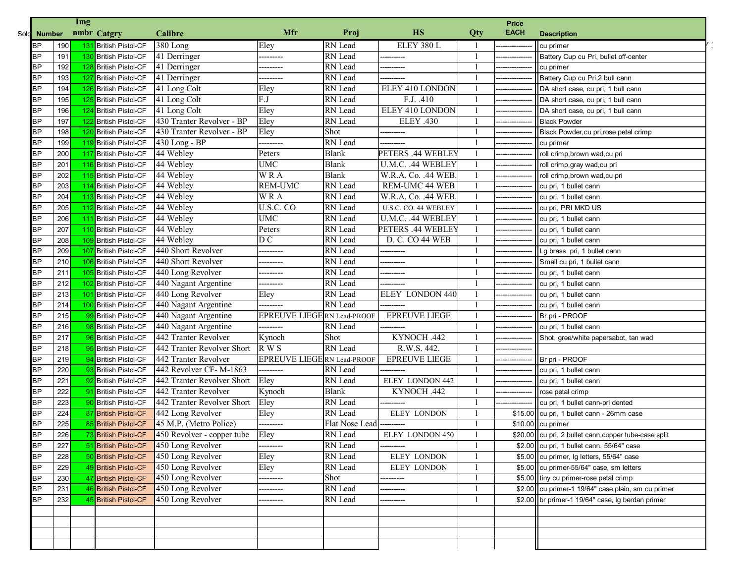|           |             |     | Img |                       |                                 |                                    |                |                        |     | Price       |                                                       |  |
|-----------|-------------|-----|-----|-----------------------|---------------------------------|------------------------------------|----------------|------------------------|-----|-------------|-------------------------------------------------------|--|
|           | Sold Number |     |     | nmbr Catgry           | <b>Calibre</b>                  | Mfr                                | Proj           | <b>HS</b>              | Qty | <b>EACH</b> | <b>Description</b>                                    |  |
| <b>BP</b> |             | 190 | 131 | British Pistol-CF     | $\overline{380}$ Long           | Eley                               | RN Lead        | ELEY 380 L             |     |             | cu primer                                             |  |
| <b>BP</b> |             | 191 |     | 130 British Pistol-CF | 41 Derringer                    | --------                           | RN Lead        |                        |     |             | Battery Cup cu Pri, bullet off-center                 |  |
| <b>BP</b> |             | 192 |     | 128 British Pistol-CF | 41 Derringer                    |                                    | RN Lead        |                        |     |             | cu primer                                             |  |
| <b>BP</b> |             | 193 |     | 127 British Pistol-CF | 41 Derringer                    | --------                           | RN Lead        |                        |     |             | Battery Cup cu Pri, 2 bull cann                       |  |
| <b>BP</b> |             | 194 |     | 126 British Pistol-CF | 41 Long Colt                    | Eley                               | RN Lead        | ELEY 410 LONDON        |     |             | DA short case, cu pri, 1 bull cann                    |  |
| <b>BP</b> |             | 195 |     | 125 British Pistol-CF | 41 Long Colt                    | F.J                                | RN Lead        | F.J. .410              |     |             | DA short case, cu pri, 1 bull cann                    |  |
| <b>BP</b> |             | 196 |     | 124 British Pistol-CF | 41 Long Colt                    | Eley                               | RN Lead        | <b>ELEY 410 LONDON</b> |     |             | DA short case, cu pri, 1 bull cann                    |  |
| <b>BP</b> |             | 197 |     | 122 British Pistol-CF | 430 Tranter Revolver - BP       | Eley                               | RN Lead        | <b>ELEY .430</b>       |     |             | <b>Black Powder</b>                                   |  |
| <b>BP</b> |             | 198 |     | 120 British Pistol-CF | 430 Tranter Revolver - BP       | Eley                               | Shot           |                        |     |             | Black Powder, cu pri, rose petal crimp                |  |
| <b>BP</b> |             | 199 |     | 119 British Pistol-CF | 430 Long - BP                   |                                    | RN Lead        |                        |     |             | cu primer                                             |  |
| <b>BP</b> |             | 200 |     | 117 British Pistol-CF | 44 Webley                       | Peters                             | <b>Blank</b>   | PETERS .44 WEBLEY      |     |             | roll crimp, brown wad, cu pri                         |  |
| <b>BP</b> |             | 201 |     | 116 British Pistol-CF | 44 Webley                       | <b>UMC</b>                         | <b>Blank</b>   | U.M.C. .44 WEBLEY      |     |             | roll crimp, gray wad, cu pri                          |  |
| <b>BP</b> |             | 202 |     | 115 British Pistol-CF | 44 Webley                       | <b>WRA</b>                         | <b>Blank</b>   | W.R.A. Co. .44 WEB.    |     |             | roll crimp, brown wad, cu pri                         |  |
| <b>BP</b> |             | 203 |     | 114 British Pistol-CF | 44 Webley                       | <b>REM-UMC</b>                     | RN Lead        | REM-UMC 44 WEB         |     |             | cu pri, 1 bullet cann                                 |  |
| <b>BP</b> |             | 204 |     | 113 British Pistol-CF | 44 Webley                       | WRA                                | RN Lead        | W.R.A. Co. .44 WEB.    |     |             | cu pri, 1 bullet cann                                 |  |
| <b>BP</b> |             | 205 |     | 112 British Pistol-CF | 44 Webley                       | U.S.C. CO                          | RN Lead        | U.S.C. CO. 44 WEBLEY   |     |             | cu pri, PRI MKD US                                    |  |
| <b>BP</b> |             | 206 |     | 111 British Pistol-CF | 44 Webley                       | <b>UMC</b>                         | RN Lead        | U.M.C. .44 WEBLEY      |     |             | cu pri, 1 bullet cann                                 |  |
| <b>BP</b> |             | 207 |     | 110 British Pistol-CF | 44 Webley                       | Peters                             | RN Lead        | PETERS .44 WEBLEY      |     |             | cu pri, 1 bullet cann                                 |  |
| <b>BP</b> |             | 208 |     | 109 British Pistol-CF | 44 Webley                       | D <sub>C</sub>                     | RN Lead        | D. C. CO 44 WEB        |     |             | cu pri, 1 bullet cann                                 |  |
| <b>BP</b> |             | 209 |     | 107 British Pistol-CF | 440 Short Revolver              | ---------                          | RN Lead        | ---------              |     |             | Lg brass pri, 1 bullet cann                           |  |
| <b>BP</b> |             | 210 |     | 106 British Pistol-CF | 440 Short Revolver              | ---------                          | RN Lead        | ----------             |     |             | Small cu pri, 1 bullet cann                           |  |
| <b>BP</b> |             | 211 |     | 105 British Pistol-CF | 440 Long Revolver               |                                    | RN Lead        |                        |     |             | cu pri, 1 bullet cann                                 |  |
| <b>BP</b> |             | 212 |     | 102 British Pistol-CF | 440 Nagant Argentine            |                                    | RN Lead        |                        |     |             | cu pri, 1 bullet cann                                 |  |
| <b>BP</b> |             | 213 |     | 101 British Pistol-CF | 440 Long Revolver               | Eley                               | RN Lead        | ELEY LONDON 440        |     |             | cu pri, 1 bullet cann                                 |  |
| <b>BP</b> |             | 214 |     | 100 British Pistol-CF | 440 Nagant Argentine            | --------                           | RN Lead        |                        |     |             | cu pri, 1 bullet cann                                 |  |
| <b>BP</b> |             | 215 |     | 99 British Pistol-CF  | 440 Nagant Argentine            | EPREUVE LIEGERN Lead-PROOF         |                | <b>EPREUVE LIEGE</b>   |     |             | Br pri - PROOF                                        |  |
| <b>BP</b> |             | 216 |     | 98 British Pistol-CF  | 440 Nagant Argentine            |                                    | RN Lead        |                        |     |             | cu pri, 1 bullet cann                                 |  |
| <b>BP</b> |             | 217 |     | 96 British Pistol-CF  | 442 Tranter Revolver            | Kynoch                             | Shot           | KYNOCH .442            |     |             | Shot, gree/white papersabot, tan wad                  |  |
| <b>BP</b> |             | 218 |     | 95 British Pistol-CF  | 442 Tranter Revolver Short      | R W S                              | RN Lead        | R.W.S. 442.            |     |             |                                                       |  |
| <b>BP</b> |             | 219 |     | 94 British Pistol-CF  | 442 Tranter Revolver            | <b>EPREUVE LIEGE RN Lead-PROOF</b> |                | <b>EPREUVE LIEGE</b>   |     |             | Br pri - PROOF                                        |  |
| <b>BP</b> |             | 220 |     | 93 British Pistol-CF  | 442 Revolver CF-M-1863          | ---------                          | RN Lead        |                        |     |             | cu pri, 1 bullet cann                                 |  |
| <b>BP</b> |             | 221 |     | 92 British Pistol-CF  | 442 Tranter Revolver Short      | Eley                               | RN Lead        | <b>ELEY LONDON 442</b> |     |             | cu pri, 1 bullet cann                                 |  |
| <b>BP</b> |             | 222 |     | 91 British Pistol-CF  | 442 Tranter Revolver            | Kynoch                             | <b>Blank</b>   | KYNOCH .442            |     |             | rose petal crimp                                      |  |
| <b>BP</b> |             | 223 |     | 90 British Pistol-CF  | 442 Tranter Revolver Short      | Eley                               | RN Lead        |                        |     |             | cu pri, 1 bullet cann-pri dented                      |  |
| <b>BP</b> |             | 224 |     | 87 British Pistol-CF  | 442 Long Revolver               | Eley                               | RN Lead        | <b>ELEY LONDON</b>     |     |             | \$15.00 cu pri, 1 bullet cann - 26mm case             |  |
| <b>BP</b> |             | 225 |     | 85 British Pistol-CF  | 45 M.P. (Metro Police)          | ---------                          | Flat Nose Lead |                        |     |             | $$10.00$ cu primer                                    |  |
| <b>BP</b> |             | 226 |     | 73 British Pistol-CF  | 450 Revolver - copper tube Eley |                                    | RN Lead        | <b>ELEY LONDON 450</b> |     |             | \$20.00 cu pri, 2 bullet cann, copper tube-case split |  |
| <b>BP</b> |             | 227 |     | 51 British Pistol-CF  | 450 Long Revolver               | --------                           | RN Lead        |                        |     |             | \$2.00 cu pri, 1 bullet cann, 55/64" case             |  |
| <b>BP</b> |             | 228 |     | 50 British Pistol-CF  | 450 Long Revolver               | Eley                               | RN Lead        | ELEY LONDON            |     |             | \$5.00 cu primer, Ig letters, 55/64" case             |  |
| <b>BP</b> |             | 229 |     | 49 British Pistol-CF  | 450 Long Revolver               | Eley                               | RN Lead        | <b>ELEY LONDON</b>     |     |             | \$5.00 cu primer-55/64" case, sm letters              |  |
| <b>BP</b> |             | 230 |     | 47 British Pistol-CF  | 450 Long Revolver               | ---------                          | Shot           | --------               |     |             | \$5.00 tiny cu primer-rose petal crimp                |  |
| <b>BP</b> |             | 231 |     | 46 British Pistol-CF  | 450 Long Revolver               | --------                           | RN Lead        |                        |     |             | \$2.00 cu primer-1 19/64" case, plain, sm cu primer   |  |
| <b>BP</b> |             | 232 |     | 45 British Pistol-CF  | 450 Long Revolver               | --------                           | RN Lead        | ---------              |     |             | \$2.00 br primer-1 19/64" case, Ig berdan primer      |  |
|           |             |     |     |                       |                                 |                                    |                |                        |     |             |                                                       |  |
|           |             |     |     |                       |                                 |                                    |                |                        |     |             |                                                       |  |
|           |             |     |     |                       |                                 |                                    |                |                        |     |             |                                                       |  |
|           |             |     |     |                       |                                 |                                    |                |                        |     |             |                                                       |  |